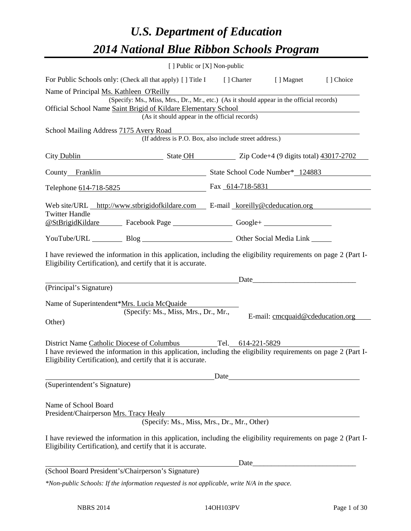# *U.S. Department of Education 2014 National Blue Ribbon Schools Program*

|                                         | [ ] Public or [X] Non-public                                                                                                                                                   |  |                                                                                                                                                                                                                                |           |
|-----------------------------------------|--------------------------------------------------------------------------------------------------------------------------------------------------------------------------------|--|--------------------------------------------------------------------------------------------------------------------------------------------------------------------------------------------------------------------------------|-----------|
|                                         | For Public Schools only: (Check all that apply) [] Title I [] Charter [] Magnet                                                                                                |  |                                                                                                                                                                                                                                | [] Choice |
| Name of Principal Ms. Kathleen O'Reilly |                                                                                                                                                                                |  |                                                                                                                                                                                                                                |           |
|                                         | (Specify: Ms., Miss, Mrs., Dr., Mr., etc.) (As it should appear in the official records)                                                                                       |  |                                                                                                                                                                                                                                |           |
|                                         | Official School Name Saint Brigid of Kildare Elementary School<br>(As it should appear in the official records)                                                                |  |                                                                                                                                                                                                                                |           |
|                                         |                                                                                                                                                                                |  |                                                                                                                                                                                                                                |           |
| School Mailing Address 7175 Avery Road  | (If address is P.O. Box, also include street address.)                                                                                                                         |  |                                                                                                                                                                                                                                |           |
|                                         | City Dublin State OH State OH Zip Code+4 (9 digits total) 43017-2702                                                                                                           |  |                                                                                                                                                                                                                                |           |
|                                         | County Franklin State School Code Number* 124883                                                                                                                               |  |                                                                                                                                                                                                                                |           |
|                                         | Telephone 614-718-5825 Fax 614-718-5831                                                                                                                                        |  |                                                                                                                                                                                                                                |           |
|                                         | Web site/URL http://www.stbrigidofkildare.com E-mail koreilly@cdeducation.org                                                                                                  |  |                                                                                                                                                                                                                                |           |
| <b>Twitter Handle</b>                   | @StBrigidKildare Facebook Page Google+                                                                                                                                         |  |                                                                                                                                                                                                                                |           |
|                                         | YouTube/URL Blog Blog Discount Cher Social Media Link                                                                                                                          |  |                                                                                                                                                                                                                                |           |
|                                         | I have reviewed the information in this application, including the eligibility requirements on page 2 (Part I-<br>Eligibility Certification), and certify that it is accurate. |  |                                                                                                                                                                                                                                |           |
|                                         |                                                                                                                                                                                |  | Date                                                                                                                                                                                                                           |           |
| (Principal's Signature)                 |                                                                                                                                                                                |  |                                                                                                                                                                                                                                |           |
|                                         | Name of Superintendent*Mrs. Lucia McQuaide                                                                                                                                     |  |                                                                                                                                                                                                                                |           |
|                                         | (Specify: Ms., Miss, Mrs., Dr., Mr.,                                                                                                                                           |  | E-mail: cmcquaid@cdeducation.org                                                                                                                                                                                               |           |
| Other)                                  |                                                                                                                                                                                |  |                                                                                                                                                                                                                                |           |
|                                         | District Name Catholic Diocese of Columbus Tel. 614-221-5829                                                                                                                   |  |                                                                                                                                                                                                                                |           |
|                                         | I have reviewed the information in this application, including the eligibility requirements on page 2 (Part I-                                                                 |  |                                                                                                                                                                                                                                |           |
|                                         | Eligibility Certification), and certify that it is accurate.                                                                                                                   |  |                                                                                                                                                                                                                                |           |
|                                         |                                                                                                                                                                                |  | Date and the contract of the contract of the contract of the contract of the contract of the contract of the contract of the contract of the contract of the contract of the contract of the contract of the contract of the c |           |
| (Superintendent's Signature)            |                                                                                                                                                                                |  |                                                                                                                                                                                                                                |           |
|                                         |                                                                                                                                                                                |  |                                                                                                                                                                                                                                |           |
| Name of School Board                    |                                                                                                                                                                                |  |                                                                                                                                                                                                                                |           |
| President/Chairperson Mrs. Tracy Healy  | (Specify: Ms., Miss, Mrs., Dr., Mr., Other)                                                                                                                                    |  |                                                                                                                                                                                                                                |           |
|                                         |                                                                                                                                                                                |  |                                                                                                                                                                                                                                |           |
|                                         | I have reviewed the information in this application, including the eligibility requirements on page 2 (Part I-<br>Eligibility Certification), and certify that it is accurate. |  |                                                                                                                                                                                                                                |           |
|                                         |                                                                                                                                                                                |  |                                                                                                                                                                                                                                |           |
|                                         | (School Board President's/Chairperson's Signature)                                                                                                                             |  |                                                                                                                                                                                                                                |           |
|                                         | $kN_{\alpha\alpha}$ public $S_{\alpha}$ boolse If the information negrected is not smalles ble surite $N/4$ in the space                                                       |  |                                                                                                                                                                                                                                |           |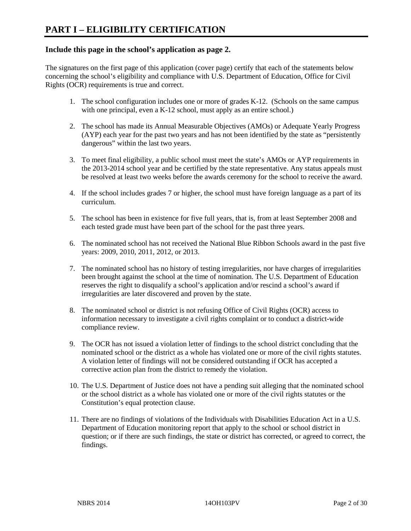# **Include this page in the school's application as page 2.**

The signatures on the first page of this application (cover page) certify that each of the statements below concerning the school's eligibility and compliance with U.S. Department of Education, Office for Civil Rights (OCR) requirements is true and correct.

- 1. The school configuration includes one or more of grades K-12. (Schools on the same campus with one principal, even a K-12 school, must apply as an entire school.)
- 2. The school has made its Annual Measurable Objectives (AMOs) or Adequate Yearly Progress (AYP) each year for the past two years and has not been identified by the state as "persistently dangerous" within the last two years.
- 3. To meet final eligibility, a public school must meet the state's AMOs or AYP requirements in the 2013-2014 school year and be certified by the state representative. Any status appeals must be resolved at least two weeks before the awards ceremony for the school to receive the award.
- 4. If the school includes grades 7 or higher, the school must have foreign language as a part of its curriculum.
- 5. The school has been in existence for five full years, that is, from at least September 2008 and each tested grade must have been part of the school for the past three years.
- 6. The nominated school has not received the National Blue Ribbon Schools award in the past five years: 2009, 2010, 2011, 2012, or 2013.
- 7. The nominated school has no history of testing irregularities, nor have charges of irregularities been brought against the school at the time of nomination. The U.S. Department of Education reserves the right to disqualify a school's application and/or rescind a school's award if irregularities are later discovered and proven by the state.
- 8. The nominated school or district is not refusing Office of Civil Rights (OCR) access to information necessary to investigate a civil rights complaint or to conduct a district-wide compliance review.
- 9. The OCR has not issued a violation letter of findings to the school district concluding that the nominated school or the district as a whole has violated one or more of the civil rights statutes. A violation letter of findings will not be considered outstanding if OCR has accepted a corrective action plan from the district to remedy the violation.
- 10. The U.S. Department of Justice does not have a pending suit alleging that the nominated school or the school district as a whole has violated one or more of the civil rights statutes or the Constitution's equal protection clause.
- 11. There are no findings of violations of the Individuals with Disabilities Education Act in a U.S. Department of Education monitoring report that apply to the school or school district in question; or if there are such findings, the state or district has corrected, or agreed to correct, the findings.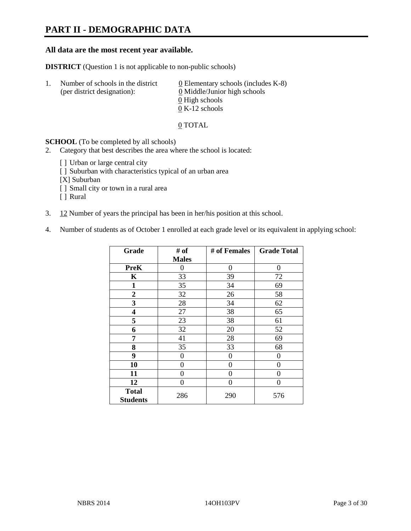# **PART II - DEMOGRAPHIC DATA**

# **All data are the most recent year available.**

**DISTRICT** (Question 1 is not applicable to non-public schools)

| -1. | Number of schools in the district<br>(per district designation): | $\underline{0}$ Elementary schools (includes K-8)<br>0 Middle/Junior high schools |
|-----|------------------------------------------------------------------|-----------------------------------------------------------------------------------|
|     |                                                                  | 0 High schools                                                                    |
|     |                                                                  | $0 K-12$ schools                                                                  |

#### 0 TOTAL

# **SCHOOL** (To be completed by all schools)

- 2. Category that best describes the area where the school is located:
	- [] Urban or large central city
	- [] Suburban with characteristics typical of an urban area
	- [X] Suburban
	- [ ] Small city or town in a rural area
	- [ ] Rural
- 3. 12 Number of years the principal has been in her/his position at this school.
- 4. Number of students as of October 1 enrolled at each grade level or its equivalent in applying school:

| Grade           | # of         | # of Females | <b>Grade Total</b> |
|-----------------|--------------|--------------|--------------------|
|                 | <b>Males</b> |              |                    |
| <b>PreK</b>     | 0            | 0            | 0                  |
| K               | 33           | 39           | 72                 |
| 1               | 35           | 34           | 69                 |
| 2               | 32           | 26           | 58                 |
| 3               | 28           | 34           | 62                 |
| 4               | 27           | 38           | 65                 |
| 5               | 23           | 38           | 61                 |
| 6               | 32           | 20           | 52                 |
| 7               | 41           | 28           | 69                 |
| 8               | 35           | 33           | 68                 |
| 9               | 0            | 0            | 0                  |
| 10              | 0            | 0            | 0                  |
| 11              | $\theta$     | 0            | 0                  |
| 12              | $\theta$     | 0            | 0                  |
| <b>Total</b>    | 286          | 290          | 576                |
| <b>Students</b> |              |              |                    |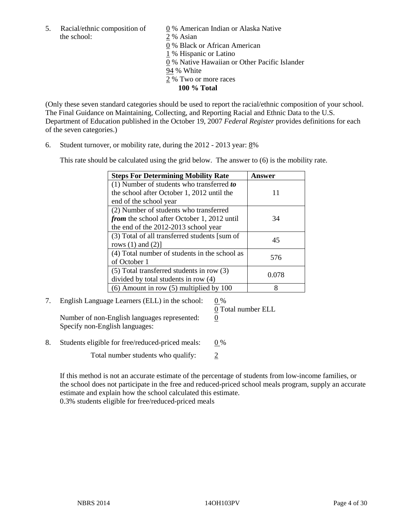5. Racial/ethnic composition of  $\qquad \qquad \underline{0}$  % American Indian or Alaska Native the school: 2 % Asian

 0 % Black or African American 1 % Hispanic or Latino 0 % Native Hawaiian or Other Pacific Islander 94 % White 2 % Two or more races **100 % Total** 

(Only these seven standard categories should be used to report the racial/ethnic composition of your school. The Final Guidance on Maintaining, Collecting, and Reporting Racial and Ethnic Data to the U.S. Department of Education published in the October 19, 2007 *Federal Register* provides definitions for each of the seven categories.)

6. Student turnover, or mobility rate, during the 2012 - 2013 year: 8%

This rate should be calculated using the grid below. The answer to (6) is the mobility rate.

| <b>Steps For Determining Mobility Rate</b>         | Answer |
|----------------------------------------------------|--------|
| (1) Number of students who transferred to          |        |
| the school after October 1, 2012 until the         | 11     |
| end of the school year                             |        |
| (2) Number of students who transferred             |        |
| <i>from</i> the school after October 1, 2012 until | 34     |
| the end of the 2012-2013 school year               |        |
| (3) Total of all transferred students [sum of      | 45     |
| rows $(1)$ and $(2)$ ]                             |        |
| (4) Total number of students in the school as      | 576    |
| of October 1                                       |        |
| $(5)$ Total transferred students in row $(3)$      | 0.078  |
| divided by total students in row (4)               |        |
| $(6)$ Amount in row $(5)$ multiplied by 100        | 8      |

# 7. English Language Learners (ELL) in the school: 0 %

Number of non-English languages represented: 0 Specify non-English languages:

0 Total number ELL

8. Students eligible for free/reduced-priced meals:  $0\%$ 

Total number students who qualify:  $\frac{2}{3}$ 

If this method is not an accurate estimate of the percentage of students from low-income families, or the school does not participate in the free and reduced-priced school meals program, supply an accurate estimate and explain how the school calculated this estimate.

0.3% students eligible for free/reduced-priced meals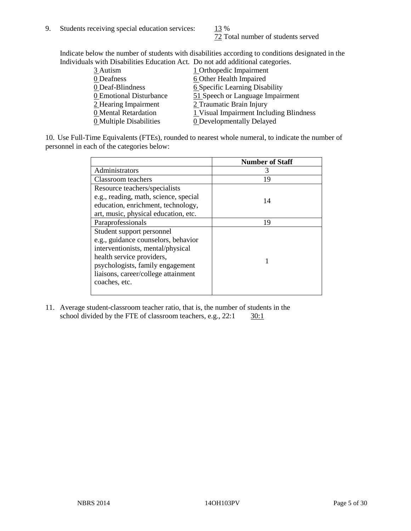72 Total number of students served

Indicate below the number of students with disabilities according to conditions designated in the Individuals with Disabilities Education Act. Do not add additional categories.

| marriaans with Disabilities Laacahon rict. Do not aaa aaanonin categorites. |                                         |
|-----------------------------------------------------------------------------|-----------------------------------------|
| 3 Autism                                                                    | 1 Orthopedic Impairment                 |
| 0 Deafness                                                                  | 6 Other Health Impaired                 |
| 0 Deaf-Blindness                                                            | 6 Specific Learning Disability          |
| 0 Emotional Disturbance                                                     | 51 Speech or Language Impairment        |
| 2 Hearing Impairment                                                        | 2 Traumatic Brain Injury                |
| 0 Mental Retardation                                                        | 1 Visual Impairment Including Blindness |
| 0 Multiple Disabilities                                                     | <b>0</b> Developmentally Delayed        |

10. Use Full-Time Equivalents (FTEs), rounded to nearest whole numeral, to indicate the number of personnel in each of the categories below:

|                                       | <b>Number of Staff</b> |
|---------------------------------------|------------------------|
| Administrators                        |                        |
| Classroom teachers                    | 19                     |
| Resource teachers/specialists         |                        |
| e.g., reading, math, science, special | 14                     |
| education, enrichment, technology,    |                        |
| art, music, physical education, etc.  |                        |
| Paraprofessionals                     | 19                     |
| Student support personnel             |                        |
| e.g., guidance counselors, behavior   |                        |
| interventionists, mental/physical     |                        |
| health service providers,             |                        |
| psychologists, family engagement      |                        |
| liaisons, career/college attainment   |                        |
| coaches, etc.                         |                        |
|                                       |                        |

11. Average student-classroom teacher ratio, that is, the number of students in the school divided by the FTE of classroom teachers, e.g.,  $22:1$   $30:1$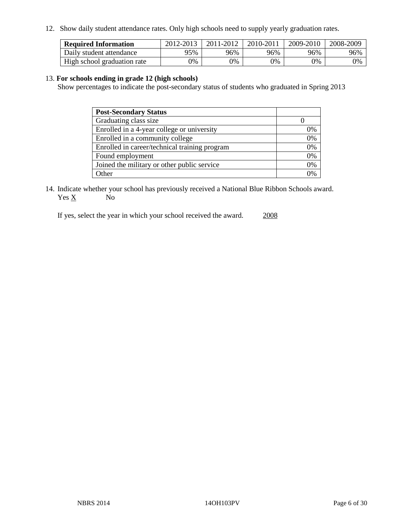12. Show daily student attendance rates. Only high schools need to supply yearly graduation rates.

| <b>Required Information</b> | 2012-2013 | 2011-2012 | 2010-2011 | 2009-2010 | 2008-2009 |
|-----------------------------|-----------|-----------|-----------|-----------|-----------|
| Daily student attendance    | 95%       | 96%       | 96%       | 96%       | 96%       |
| High school graduation rate | 0%        | 0%        | 0%        | 0%        | 0%        |

## 13. **For schools ending in grade 12 (high schools)**

Show percentages to indicate the post-secondary status of students who graduated in Spring 2013

| <b>Post-Secondary Status</b>                  |    |
|-----------------------------------------------|----|
| Graduating class size                         |    |
| Enrolled in a 4-year college or university    | 0% |
| Enrolled in a community college               | 0% |
| Enrolled in career/technical training program | 0% |
| Found employment                              | 0% |
| Joined the military or other public service   | 0% |
| . Other                                       | 0/ |

14. Indicate whether your school has previously received a National Blue Ribbon Schools award.  $Yes \underline{X}$  No

If yes, select the year in which your school received the award. 2008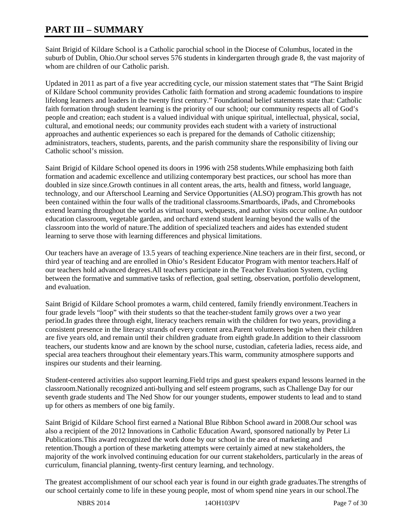# **PART III – SUMMARY**

Saint Brigid of Kildare School is a Catholic parochial school in the Diocese of Columbus, located in the suburb of Dublin, Ohio.Our school serves 576 students in kindergarten through grade 8, the vast majority of whom are children of our Catholic parish.

Updated in 2011 as part of a five year accrediting cycle, our mission statement states that "The Saint Brigid of Kildare School community provides Catholic faith formation and strong academic foundations to inspire lifelong learners and leaders in the twenty first century." Foundational belief statements state that: Catholic faith formation through student learning is the priority of our school; our community respects all of God's people and creation; each student is a valued individual with unique spiritual, intellectual, physical, social, cultural, and emotional needs; our community provides each student with a variety of instructional approaches and authentic experiences so each is prepared for the demands of Catholic citizenship; administrators, teachers, students, parents, and the parish community share the responsibility of living our Catholic school's mission.

Saint Brigid of Kildare School opened its doors in 1996 with 258 students.While emphasizing both faith formation and academic excellence and utilizing contemporary best practices, our school has more than doubled in size since.Growth continues in all content areas, the arts, health and fitness, world language, technology, and our Afterschool Learning and Service Opportunities (ALSO) program.This growth has not been contained within the four walls of the traditional classrooms.Smartboards, iPads, and Chromebooks extend learning throughout the world as virtual tours, webquests, and author visits occur online.An outdoor education classroom, vegetable garden, and orchard extend student learning beyond the walls of the classroom into the world of nature.The addition of specialized teachers and aides has extended student learning to serve those with learning differences and physical limitations.

Our teachers have an average of 13.5 years of teaching experience.Nine teachers are in their first, second, or third year of teaching and are enrolled in Ohio's Resident Educator Program with mentor teachers.Half of our teachers hold advanced degrees.All teachers participate in the Teacher Evaluation System, cycling between the formative and summative tasks of reflection, goal setting, observation, portfolio development, and evaluation.

Saint Brigid of Kildare School promotes a warm, child centered, family friendly environment.Teachers in four grade levels "loop" with their students so that the teacher-student family grows over a two year period.In grades three through eight, literacy teachers remain with the children for two years, providing a consistent presence in the literacy strands of every content area.Parent volunteers begin when their children are five years old, and remain until their children graduate from eighth grade.In addition to their classroom teachers, our students know and are known by the school nurse, custodian, cafeteria ladies, recess aide, and special area teachers throughout their elementary years.This warm, community atmosphere supports and inspires our students and their learning.

Student-centered activities also support learning.Field trips and guest speakers expand lessons learned in the classroom.Nationally recognized anti-bullying and self esteem programs, such as Challenge Day for our seventh grade students and The Ned Show for our younger students, empower students to lead and to stand up for others as members of one big family.

Saint Brigid of Kildare School first earned a National Blue Ribbon School award in 2008.Our school was also a recipient of the 2012 Innovations in Catholic Education Award, sponsored nationally by Peter Li Publications.This award recognized the work done by our school in the area of marketing and retention.Though a portion of these marketing attempts were certainly aimed at new stakeholders, the majority of the work involved continuing education for our current stakeholders, particularly in the areas of curriculum, financial planning, twenty-first century learning, and technology.

The greatest accomplishment of our school each year is found in our eighth grade graduates.The strengths of our school certainly come to life in these young people, most of whom spend nine years in our school.The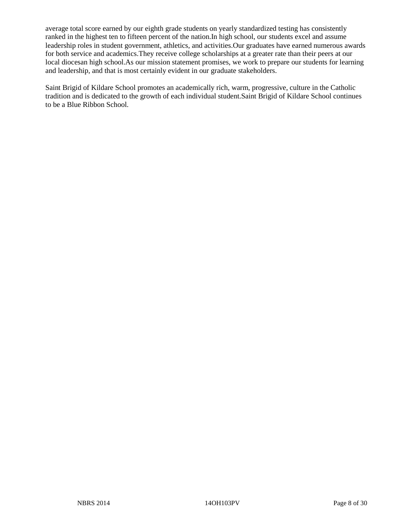average total score earned by our eighth grade students on yearly standardized testing has consistently ranked in the highest ten to fifteen percent of the nation.In high school, our students excel and assume leadership roles in student government, athletics, and activities.Our graduates have earned numerous awards for both service and academics.They receive college scholarships at a greater rate than their peers at our local diocesan high school.As our mission statement promises, we work to prepare our students for learning and leadership, and that is most certainly evident in our graduate stakeholders.

Saint Brigid of Kildare School promotes an academically rich, warm, progressive, culture in the Catholic tradition and is dedicated to the growth of each individual student.Saint Brigid of Kildare School continues to be a Blue Ribbon School.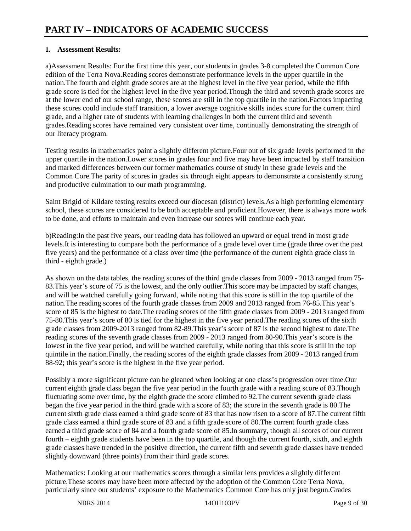# **1. Assessment Results:**

a)Assessment Results: For the first time this year, our students in grades 3-8 completed the Common Core edition of the Terra Nova.Reading scores demonstrate performance levels in the upper quartile in the nation.The fourth and eighth grade scores are at the highest level in the five year period, while the fifth grade score is tied for the highest level in the five year period.Though the third and seventh grade scores are at the lower end of our school range, these scores are still in the top quartile in the nation.Factors impacting these scores could include staff transition, a lower average cognitive skills index score for the current third grade, and a higher rate of students with learning challenges in both the current third and seventh grades.Reading scores have remained very consistent over time, continually demonstrating the strength of our literacy program.

Testing results in mathematics paint a slightly different picture.Four out of six grade levels performed in the upper quartile in the nation.Lower scores in grades four and five may have been impacted by staff transition and marked differences between our former mathematics course of study in these grade levels and the Common Core.The parity of scores in grades six through eight appears to demonstrate a consistently strong and productive culmination to our math programming.

Saint Brigid of Kildare testing results exceed our diocesan (district) levels.As a high performing elementary school, these scores are considered to be both acceptable and proficient.However, there is always more work to be done, and efforts to maintain and even increase our scores will continue each year.

b)Reading:In the past five years, our reading data has followed an upward or equal trend in most grade levels.It is interesting to compare both the performance of a grade level over time (grade three over the past five years) and the performance of a class over time (the performance of the current eighth grade class in third - eighth grade.)

As shown on the data tables, the reading scores of the third grade classes from 2009 - 2013 ranged from 75- 83.This year's score of 75 is the lowest, and the only outlier.This score may be impacted by staff changes, and will be watched carefully going forward, while noting that this score is still in the top quartile of the nation.The reading scores of the fourth grade classes from 2009 and 2013 ranged from 76-85.This year's score of 85 is the highest to date.The reading scores of the fifth grade classes from 2009 - 2013 ranged from 75-80.This year's score of 80 is tied for the highest in the five year period.The reading scores of the sixth grade classes from 2009-2013 ranged from 82-89.This year's score of 87 is the second highest to date.The reading scores of the seventh grade classes from 2009 - 2013 ranged from 80-90.This year's score is the lowest in the five year period, and will be watched carefully, while noting that this score is still in the top quintile in the nation.Finally, the reading scores of the eighth grade classes from 2009 - 2013 ranged from 88-92; this year's score is the highest in the five year period.

Possibly a more significant picture can be gleaned when looking at one class's progression over time.Our current eighth grade class began the five year period in the fourth grade with a reading score of 83.Though fluctuating some over time, by the eighth grade the score climbed to 92.The current seventh grade class began the five year period in the third grade with a score of 83; the score in the seventh grade is 80.The current sixth grade class earned a third grade score of 83 that has now risen to a score of 87.The current fifth grade class earned a third grade score of 83 and a fifth grade score of 80.The current fourth grade class earned a third grade score of 84 and a fourth grade score of 85.In summary, though all scores of our current fourth – eighth grade students have been in the top quartile, and though the current fourth, sixth, and eighth grade classes have trended in the positive direction, the current fifth and seventh grade classes have trended slightly downward (three points) from their third grade scores.

Mathematics: Looking at our mathematics scores through a similar lens provides a slightly different picture.These scores may have been more affected by the adoption of the Common Core Terra Nova, particularly since our students' exposure to the Mathematics Common Core has only just begun.Grades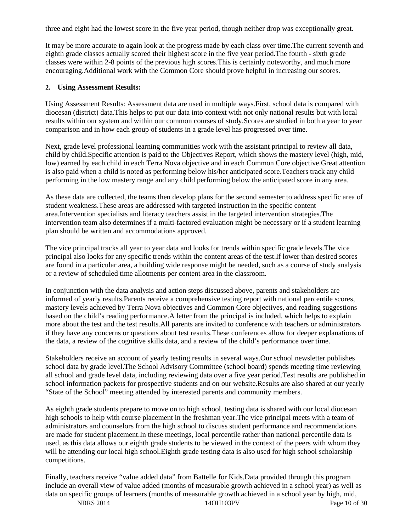three and eight had the lowest score in the five year period, though neither drop was exceptionally great.

It may be more accurate to again look at the progress made by each class over time.The current seventh and eighth grade classes actually scored their highest score in the five year period.The fourth - sixth grade classes were within 2-8 points of the previous high scores.This is certainly noteworthy, and much more encouraging.Additional work with the Common Core should prove helpful in increasing our scores.

# **2. Using Assessment Results:**

Using Assessment Results: Assessment data are used in multiple ways.First, school data is compared with diocesan (district) data.This helps to put our data into context with not only national results but with local results within our system and within our common courses of study.Scores are studied in both a year to year comparison and in how each group of students in a grade level has progressed over time.

Next, grade level professional learning communities work with the assistant principal to review all data, child by child.Specific attention is paid to the Objectives Report, which shows the mastery level (high, mid, low) earned by each child in each Terra Nova objective and in each Common Core objective.Great attention is also paid when a child is noted as performing below his/her anticipated score.Teachers track any child performing in the low mastery range and any child performing below the anticipated score in any area.

As these data are collected, the teams then develop plans for the second semester to address specific area of student weakness.These areas are addressed with targeted instruction in the specific content area.Intervention specialists and literacy teachers assist in the targeted intervention strategies.The intervention team also determines if a multi-factored evaluation might be necessary or if a student learning plan should be written and accommodations approved.

The vice principal tracks all year to year data and looks for trends within specific grade levels.The vice principal also looks for any specific trends within the content areas of the test.If lower than desired scores are found in a particular area, a building wide response might be needed, such as a course of study analysis or a review of scheduled time allotments per content area in the classroom.

In conjunction with the data analysis and action steps discussed above, parents and stakeholders are informed of yearly results.Parents receive a comprehensive testing report with national percentile scores, mastery levels achieved by Terra Nova objectives and Common Core objectives, and reading suggestions based on the child's reading performance.A letter from the principal is included, which helps to explain more about the test and the test results.All parents are invited to conference with teachers or administrators if they have any concerns or questions about test results.These conferences allow for deeper explanations of the data, a review of the cognitive skills data, and a review of the child's performance over time.

Stakeholders receive an account of yearly testing results in several ways.Our school newsletter publishes school data by grade level.The School Advisory Committee (school board) spends meeting time reviewing all school and grade level data, including reviewing data over a five year period.Test results are published in school information packets for prospective students and on our website.Results are also shared at our yearly "State of the School" meeting attended by interested parents and community members.

As eighth grade students prepare to move on to high school, testing data is shared with our local diocesan high schools to help with course placement in the freshman year.The vice principal meets with a team of administrators and counselors from the high school to discuss student performance and recommendations are made for student placement.In these meetings, local percentile rather than national percentile data is used, as this data allows our eighth grade students to be viewed in the context of the peers with whom they will be attending our local high school.Eighth grade testing data is also used for high school scholarship competitions.

Finally, teachers receive "value added data" from Battelle for Kids.Data provided through this program include an overall view of value added (months of measurable growth achieved in a school year) as well as data on specific groups of learners (months of measurable growth achieved in a school year by high, mid,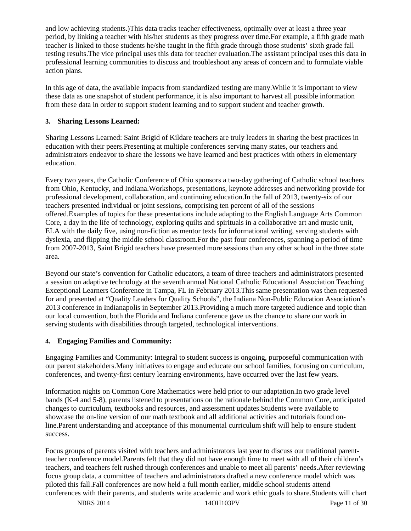and low achieving students.)This data tracks teacher effectiveness, optimally over at least a three year period, by linking a teacher with his/her students as they progress over time.For example, a fifth grade math teacher is linked to those students he/she taught in the fifth grade through those students' sixth grade fall testing results.The vice principal uses this data for teacher evaluation.The assistant principal uses this data in professional learning communities to discuss and troubleshoot any areas of concern and to formulate viable action plans.

In this age of data, the available impacts from standardized testing are many.While it is important to view these data as one snapshot of student performance, it is also important to harvest all possible information from these data in order to support student learning and to support student and teacher growth.

# **3. Sharing Lessons Learned:**

Sharing Lessons Learned: Saint Brigid of Kildare teachers are truly leaders in sharing the best practices in education with their peers.Presenting at multiple conferences serving many states, our teachers and administrators endeavor to share the lessons we have learned and best practices with others in elementary education.

Every two years, the Catholic Conference of Ohio sponsors a two-day gathering of Catholic school teachers from Ohio, Kentucky, and Indiana.Workshops, presentations, keynote addresses and networking provide for professional development, collaboration, and continuing education.In the fall of 2013, twenty-six of our teachers presented individual or joint sessions, comprising ten percent of all of the sessions offered.Examples of topics for these presentations include adapting to the English Language Arts Common Core, a day in the life of technology, exploring quilts and spirituals in a collaborative art and music unit, ELA with the daily five, using non-fiction as mentor texts for informational writing, serving students with dyslexia, and flipping the middle school classroom.For the past four conferences, spanning a period of time from 2007-2013, Saint Brigid teachers have presented more sessions than any other school in the three state area.

Beyond our state's convention for Catholic educators, a team of three teachers and administrators presented a session on adaptive technology at the seventh annual National Catholic Educational Association Teaching Exceptional Learners Conference in Tampa, FL in February 2013.This same presentation was then requested for and presented at "Quality Leaders for Quality Schools", the Indiana Non-Public Education Association's 2013 conference in Indianapolis in September 2013.Providing a much more targeted audience and topic than our local convention, both the Florida and Indiana conference gave us the chance to share our work in serving students with disabilities through targeted, technological interventions.

## **4. Engaging Families and Community:**

Engaging Families and Community: Integral to student success is ongoing, purposeful communication with our parent stakeholders.Many initiatives to engage and educate our school families, focusing on curriculum, conferences, and twenty-first century learning environments, have occurred over the last few years.

Information nights on Common Core Mathematics were held prior to our adaptation.In two grade level bands (K-4 and 5-8), parents listened to presentations on the rationale behind the Common Core, anticipated changes to curriculum, textbooks and resources, and assessment updates.Students were available to showcase the on-line version of our math textbook and all additional activities and tutorials found online.Parent understanding and acceptance of this monumental curriculum shift will help to ensure student success.

Focus groups of parents visited with teachers and administrators last year to discuss our traditional parentteacher conference model.Parents felt that they did not have enough time to meet with all of their children's teachers, and teachers felt rushed through conferences and unable to meet all parents' needs.After reviewing focus group data, a committee of teachers and administrators drafted a new conference model which was piloted this fall.Fall conferences are now held a full month earlier, middle school students attend conferences with their parents, and students write academic and work ethic goals to share.Students will chart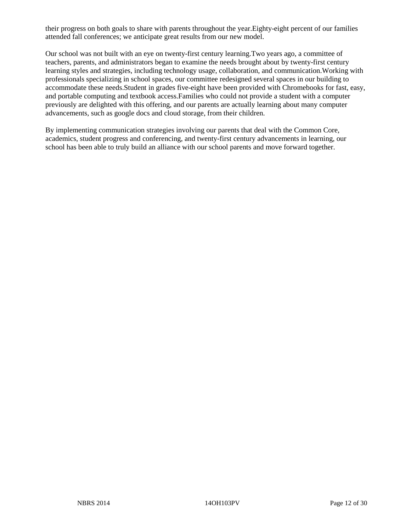their progress on both goals to share with parents throughout the year.Eighty-eight percent of our families attended fall conferences; we anticipate great results from our new model.

Our school was not built with an eye on twenty-first century learning.Two years ago, a committee of teachers, parents, and administrators began to examine the needs brought about by twenty-first century learning styles and strategies, including technology usage, collaboration, and communication.Working with professionals specializing in school spaces, our committee redesigned several spaces in our building to accommodate these needs.Student in grades five-eight have been provided with Chromebooks for fast, easy, and portable computing and textbook access.Families who could not provide a student with a computer previously are delighted with this offering, and our parents are actually learning about many computer advancements, such as google docs and cloud storage, from their children.

By implementing communication strategies involving our parents that deal with the Common Core, academics, student progress and conferencing, and twenty-first century advancements in learning, our school has been able to truly build an alliance with our school parents and move forward together.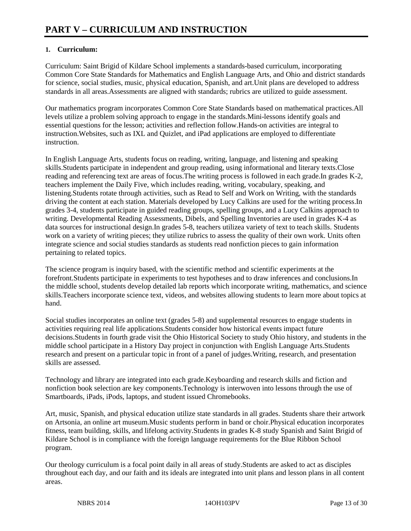# **1. Curriculum:**

Curriculum: Saint Brigid of Kildare School implements a standards-based curriculum, incorporating Common Core State Standards for Mathematics and English Language Arts, and Ohio and district standards for science, social studies, music, physical education, Spanish, and art.Unit plans are developed to address standards in all areas.Assessments are aligned with standards; rubrics are utilized to guide assessment.

Our mathematics program incorporates Common Core State Standards based on mathematical practices.All levels utilize a problem solving approach to engage in the standards.Mini-lessons identify goals and essential questions for the lesson; activities and reflection follow.Hands-on activities are integral to instruction.Websites, such as IXL and Quizlet, and iPad applications are employed to differentiate instruction.

In English Language Arts, students focus on reading, writing, language, and listening and speaking skills.Students participate in independent and group reading, using informational and literary texts.Close reading and referencing text are areas of focus.The writing process is followed in each grade.In grades K-2, teachers implement the Daily Five, which includes reading, writing, vocabulary, speaking, and listening.Students rotate through activities, such as Read to Self and Work on Writing, with the standards driving the content at each station. Materials developed by Lucy Calkins are used for the writing process.In grades 3-4, students participate in guided reading groups, spelling groups, and a Lucy Calkins approach to writing. Developmental Reading Assessments, Dibels, and Spelling Inventories are used in grades K-4 as data sources for instructional design.In grades 5-8, teachers utilizea variety of text to teach skills. Students work on a variety of writing pieces; they utilize rubrics to assess the quality of their own work. Units often integrate science and social studies standards as students read nonfiction pieces to gain information pertaining to related topics.

The science program is inquiry based, with the scientific method and scientific experiments at the forefront.Students participate in experiments to test hypotheses and to draw inferences and conclusions.In the middle school, students develop detailed lab reports which incorporate writing, mathematics, and science skills.Teachers incorporate science text, videos, and websites allowing students to learn more about topics at hand.

Social studies incorporates an online text (grades 5-8) and supplemental resources to engage students in activities requiring real life applications.Students consider how historical events impact future decisions.Students in fourth grade visit the Ohio Historical Society to study Ohio history, and students in the middle school participate in a History Day project in conjunction with English Language Arts.Students research and present on a particular topic in front of a panel of judges.Writing, research, and presentation skills are assessed.

Technology and library are integrated into each grade.Keyboarding and research skills and fiction and nonfiction book selection are key components.Technology is interwoven into lessons through the use of Smartboards, iPads, iPods, laptops, and student issued Chromebooks.

Art, music, Spanish, and physical education utilize state standards in all grades. Students share their artwork on Artsonia, an online art museum.Music students perform in band or choir.Physical education incorporates fitness, team building, skills, and lifelong activity.Students in grades K-8 study Spanish and Saint Brigid of Kildare School is in compliance with the foreign language requirements for the Blue Ribbon School program.

Our theology curriculum is a focal point daily in all areas of study.Students are asked to act as disciples throughout each day, and our faith and its ideals are integrated into unit plans and lesson plans in all content areas.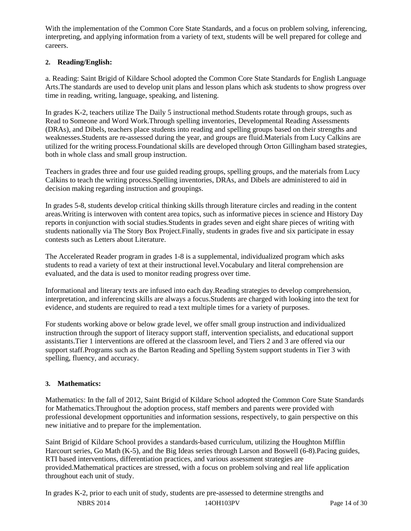With the implementation of the Common Core State Standards, and a focus on problem solving, inferencing, interpreting, and applying information from a variety of text, students will be well prepared for college and careers.

# **2. Reading/English:**

a. Reading: Saint Brigid of Kildare School adopted the Common Core State Standards for English Language Arts.The standards are used to develop unit plans and lesson plans which ask students to show progress over time in reading, writing, language, speaking, and listening.

In grades K-2, teachers utilize The Daily 5 instructional method.Students rotate through groups, such as Read to Someone and Word Work.Through spelling inventories, Developmental Reading Assessments (DRAs), and Dibels, teachers place students into reading and spelling groups based on their strengths and weaknesses.Students are re-assessed during the year, and groups are fluid.Materials from Lucy Calkins are utilized for the writing process.Foundational skills are developed through Orton Gillingham based strategies, both in whole class and small group instruction.

Teachers in grades three and four use guided reading groups, spelling groups, and the materials from Lucy Calkins to teach the writing process.Spelling inventories, DRAs, and Dibels are administered to aid in decision making regarding instruction and groupings.

In grades 5-8, students develop critical thinking skills through literature circles and reading in the content areas.Writing is interwoven with content area topics, such as informative pieces in science and History Day reports in conjunction with social studies.Students in grades seven and eight share pieces of writing with students nationally via The Story Box Project.Finally, students in grades five and six participate in essay contests such as Letters about Literature.

The Accelerated Reader program in grades 1-8 is a supplemental, individualized program which asks students to read a variety of text at their instructional level.Vocabulary and literal comprehension are evaluated, and the data is used to monitor reading progress over time.

Informational and literary texts are infused into each day.Reading strategies to develop comprehension, interpretation, and inferencing skills are always a focus.Students are charged with looking into the text for evidence, and students are required to read a text multiple times for a variety of purposes.

For students working above or below grade level, we offer small group instruction and individualized instruction through the support of literacy support staff, intervention specialists, and educational support assistants.Tier 1 interventions are offered at the classroom level, and Tiers 2 and 3 are offered via our support staff.Programs such as the Barton Reading and Spelling System support students in Tier 3 with spelling, fluency, and accuracy.

# **3. Mathematics:**

Mathematics: In the fall of 2012, Saint Brigid of Kildare School adopted the Common Core State Standards for Mathematics.Throughout the adoption process, staff members and parents were provided with professional development opportunities and information sessions, respectively, to gain perspective on this new initiative and to prepare for the implementation.

Saint Brigid of Kildare School provides a standards-based curriculum, utilizing the Houghton Mifflin Harcourt series, Go Math (K-5), and the Big Ideas series through Larson and Boswell (6-8).Pacing guides, RTI based interventions, differentiation practices, and various assessment strategies are provided.Mathematical practices are stressed, with a focus on problem solving and real life application throughout each unit of study.

NBRS 2014 14OH103PV Page 14 of 30 In grades K-2, prior to each unit of study, students are pre-assessed to determine strengths and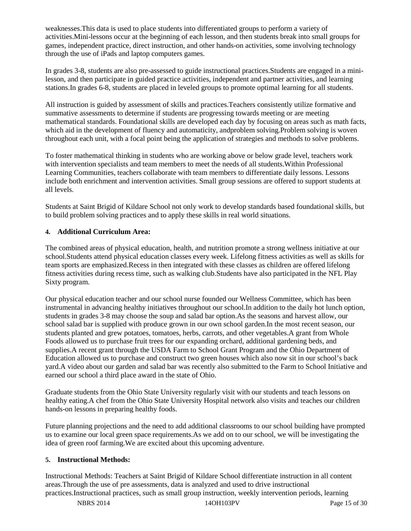weaknesses.This data is used to place students into differentiated groups to perform a variety of activities.Mini-lessons occur at the beginning of each lesson, and then students break into small groups for games, independent practice, direct instruction, and other hands-on activities, some involving technology through the use of iPads and laptop computers games.

In grades 3-8, students are also pre-assessed to guide instructional practices.Students are engaged in a minilesson, and then participate in guided practice activities, independent and partner activities, and learning stations.In grades 6-8, students are placed in leveled groups to promote optimal learning for all students.

All instruction is guided by assessment of skills and practices.Teachers consistently utilize formative and summative assessments to determine if students are progressing towards meeting or are meeting mathematical standards. Foundational skills are developed each day by focusing on areas such as math facts, which aid in the development of fluency and automaticity, andproblem solving.Problem solving is woven throughout each unit, with a focal point being the application of strategies and methods to solve problems.

To foster mathematical thinking in students who are working above or below grade level, teachers work with intervention specialists and team members to meet the needs of all students.Within Professional Learning Communities, teachers collaborate with team members to differentiate daily lessons. Lessons include both enrichment and intervention activities. Small group sessions are offered to support students at all levels.

Students at Saint Brigid of Kildare School not only work to develop standards based foundational skills, but to build problem solving practices and to apply these skills in real world situations.

# **4. Additional Curriculum Area:**

The combined areas of physical education, health, and nutrition promote a strong wellness initiative at our school.Students attend physical education classes every week. Lifelong fitness activities as well as skills for team sports are emphasized.Recess in then integrated with these classes as children are offered lifelong fitness activities during recess time, such as walking club.Students have also participated in the NFL Play Sixty program.

Our physical education teacher and our school nurse founded our Wellness Committee, which has been instrumental in advancing healthy initiatives throughout our school.In addition to the daily hot lunch option, students in grades 3-8 may choose the soup and salad bar option.As the seasons and harvest allow, our school salad bar is supplied with produce grown in our own school garden.In the most recent season, our students planted and grew potatoes, tomatoes, herbs, carrots, and other vegetables.A grant from Whole Foods allowed us to purchase fruit trees for our expanding orchard, additional gardening beds, and supplies.A recent grant through the USDA Farm to School Grant Program and the Ohio Department of Education allowed us to purchase and construct two green houses which also now sit in our school's back yard.A video about our garden and salad bar was recently also submitted to the Farm to School Initiative and earned our school a third place award in the state of Ohio.

Graduate students from the Ohio State University regularly visit with our students and teach lessons on healthy eating.A chef from the Ohio State University Hospital network also visits and teaches our children hands-on lessons in preparing healthy foods.

Future planning projections and the need to add additional classrooms to our school building have prompted us to examine our local green space requirements.As we add on to our school, we will be investigating the idea of green roof farming.We are excited about this upcoming adventure.

## **5. Instructional Methods:**

Instructional Methods: Teachers at Saint Brigid of Kildare School differentiate instruction in all content areas.Through the use of pre assessments, data is analyzed and used to drive instructional practices.Instructional practices, such as small group instruction, weekly intervention periods, learning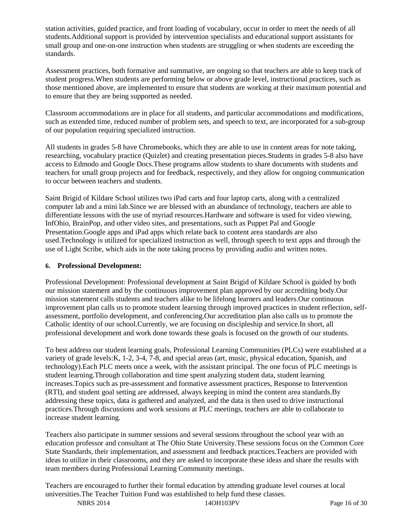station activities, guided practice, and front loading of vocabulary, occur in order to meet the needs of all students.Additional support is provided by intervention specialists and educational support assistants for small group and one-on-one instruction when students are struggling or when students are exceeding the standards.

Assessment practices, both formative and summative, are ongoing so that teachers are able to keep track of student progress.When students are performing below or above grade level, instructional practices, such as those mentioned above, are implemented to ensure that students are working at their maximum potential and to ensure that they are being supported as needed.

Classroom accommodations are in place for all students, and particular accommodations and modifications, such as extended time, reduced number of problem sets, and speech to text, are incorporated for a sub-group of our population requiring specialized instruction.

All students in grades 5-8 have Chromebooks, which they are able to use in content areas for note taking, researching, vocabulary practice (Quizlet) and creating presentation pieces.Students in grades 5-8 also have access to Edmodo and Google Docs.These programs allow students to share documents with students and teachers for small group projects and for feedback, respectively, and they allow for ongoing communication to occur between teachers and students.

Saint Brigid of Kildare School utilizes two iPad carts and four laptop carts, along with a centralized computer lab and a mini lab.Since we are blessed with an abundance of technology, teachers are able to differentiate lessons with the use of myriad resources.Hardware and software is used for video viewing, InfOhio, BrainPop, and other video sites, and presentations, such as Puppet Pal and Google Presentation.Google apps and iPad apps which relate back to content area standards are also used.Technology is utilized for specialized instruction as well, through speech to text apps and through the use of Light Scribe, which aids in the note taking process by providing audio and written notes.

# **6. Professional Development:**

Professional Development: Professional development at Saint Brigid of Kildare School is guided by both our mission statement and by the continuous improvement plan approved by our accrediting body.Our mission statement calls students and teachers alike to be lifelong learners and leaders.Our continuous improvement plan calls us to promote student learning through improved practices in student reflection, selfassessment, portfolio development, and conferencing.Our accreditation plan also calls us to promote the Catholic identity of our school.Currently, we are focusing on discipleship and service.In short, all professional development and work done towards these goals is focused on the growth of our students.

To best address our student learning goals, Professional Learning Communities (PLCs) were established at a variety of grade levels:K, 1-2, 3-4, 7-8, and special areas (art, music, physical education, Spanish, and technology).Each PLC meets once a week, with the assistant principal. The one focus of PLC meetings is student learning.Through collaboration and time spent analyzing student data, student learning increases.Topics such as pre-assessment and formative assessment practices, Response to Intervention (RTI), and student goal setting are addressed, always keeping in mind the content area standards.By addressing these topics, data is gathered and analyzed, and the data is then used to drive instructional practices.Through discussions and work sessions at PLC meetings, teachers are able to collaborate to increase student learning.

Teachers also participate in summer sessions and several sessions throughout the school year with an education professor and consultant at The Ohio State University.These sessions focus on the Common Core State Standards, their implementation, and assessment and feedback practices.Teachers are provided with ideas to utilize in their classrooms, and they are asked to incorporate these ideas and share the results with team members during Professional Learning Community meetings.

Teachers are encouraged to further their formal education by attending graduate level courses at local universities.The Teacher Tuition Fund was established to help fund these classes.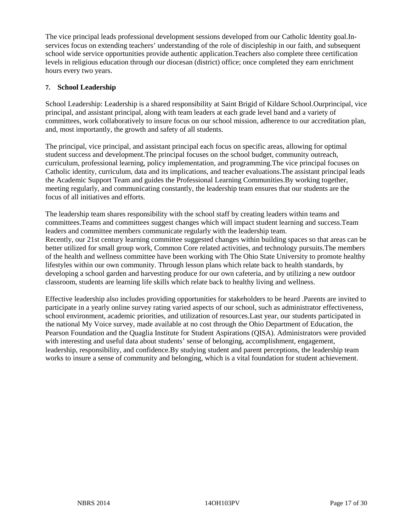The vice principal leads professional development sessions developed from our Catholic Identity goal.Inservices focus on extending teachers' understanding of the role of discipleship in our faith, and subsequent school wide service opportunities provide authentic application.Teachers also complete three certification levels in religious education through our diocesan (district) office; once completed they earn enrichment hours every two years.

# **7. School Leadership**

School Leadership: Leadership is a shared responsibility at Saint Brigid of Kildare School.Ourprincipal, vice principal, and assistant principal, along with team leaders at each grade level band and a variety of committees, work collaboratively to insure focus on our school mission, adherence to our accreditation plan, and, most importantly, the growth and safety of all students.

The principal, vice principal, and assistant principal each focus on specific areas, allowing for optimal student success and development.The principal focuses on the school budget, community outreach, curriculum, professional learning, policy implementation, and programming.The vice principal focuses on Catholic identity, curriculum, data and its implications, and teacher evaluations.The assistant principal leads the Academic Support Team and guides the Professional Learning Communities.By working together, meeting regularly, and communicating constantly, the leadership team ensures that our students are the focus of all initiatives and efforts.

The leadership team shares responsibility with the school staff by creating leaders within teams and committees.Teams and committees suggest changes which will impact student learning and success.Team leaders and committee members communicate regularly with the leadership team. Recently, our 21st century learning committee suggested changes within building spaces so that areas can be better utilized for small group work, Common Core related activities, and technology pursuits.The members of the health and wellness committee have been working with The Ohio State University to promote healthy lifestyles within our own community. Through lesson plans which relate back to health standards, by developing a school garden and harvesting produce for our own cafeteria, and by utilizing a new outdoor classroom, students are learning life skills which relate back to healthy living and wellness.

Effective leadership also includes providing opportunities for stakeholders to be heard .Parents are invited to participate in a yearly online survey rating varied aspects of our school, such as administrator effectiveness, school environment, academic priorities, and utilization of resources.Last year, our students participated in the national My Voice survey, made available at no cost through the Ohio Department of Education, the Pearson Foundation and the Quaglia Institute for Student Aspirations (QISA). Administrators were provided with interesting and useful data about students' sense of belonging, accomplishment, engagement, leadership, responsibility, and confidence.By studying student and parent perceptions, the leadership team works to insure a sense of community and belonging, which is a vital foundation for student achievement.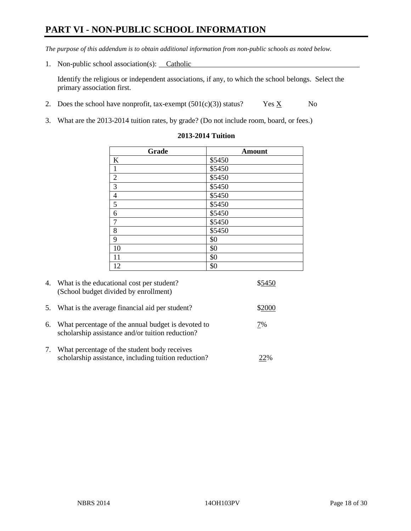# **PART VI - NON-PUBLIC SCHOOL INFORMATION**

*The purpose of this addendum is to obtain additional information from non-public schools as noted below.* 

1. Non-public school association(s): Catholic

Identify the religious or independent associations, if any, to which the school belongs. Select the primary association first.

- 2. Does the school have nonprofit, tax-exempt  $(501(c)(3))$  status? Yes  $\underline{X}$  No
- 3. What are the 2013-2014 tuition rates, by grade? (Do not include room, board, or fees.)

| Grade            | <b>Amount</b> |
|------------------|---------------|
| $\bf K$          | \$5450        |
| $\,1\,$          | \$5450        |
| $\overline{2}$   | \$5450        |
| $\overline{3}$   | \$5450        |
| $\overline{4}$   | \$5450        |
| 5                | \$5450        |
| $\boldsymbol{6}$ | \$5450        |
| $\boldsymbol{7}$ | \$5450        |
| $\,8\,$          | \$5450        |
| 9                | \$0           |
| 10               | \$0           |
| 11               | \$0           |
| 12               | \$0           |

#### **2013-2014 Tuition**

|            | 4. What is the educational cost per student?<br>(School budget divided by enrollment)                  |        |
|------------|--------------------------------------------------------------------------------------------------------|--------|
| 5.         | What is the average financial aid per student?                                                         | \$2000 |
| 6.         | What percentage of the annual budget is devoted to<br>scholarship assistance and/or tuition reduction? | 7%     |
| $\gamma$ . | What percentage of the student body receives<br>scholarship assistance, including tuition reduction?   | 22%    |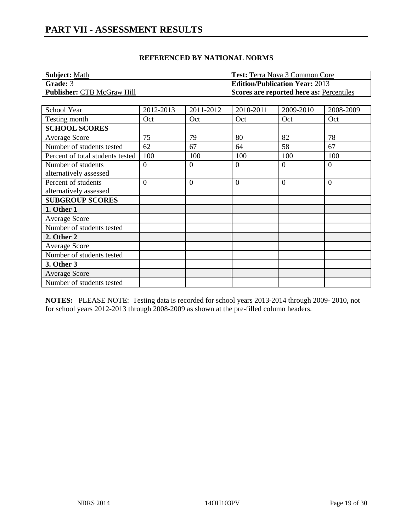| Subject: Math                     | <b>Test:</b> Terra Nova 3 Common Core    |
|-----------------------------------|------------------------------------------|
| <b>Grade: 3</b>                   | <b>Edition/Publication Year: 2013</b>    |
| <b>Publisher: CTB McGraw Hill</b> | Scores are reported here as: Percentiles |

| School Year                      | 2012-2013      | 2011-2012 | 2010-2011        | 2009-2010      | 2008-2009 |
|----------------------------------|----------------|-----------|------------------|----------------|-----------|
| Testing month                    | Oct            | Oct       | Oct              | Oct            | Oct       |
| <b>SCHOOL SCORES</b>             |                |           |                  |                |           |
| Average Score                    | 75             | 79        | 80               | 82             | 78        |
| Number of students tested        | 62             | 67        | 64               | 58             | 67        |
| Percent of total students tested | 100            | 100       | 100              | 100            | 100       |
| Number of students               | $\overline{0}$ | $\Omega$  | $\boldsymbol{0}$ | $\overline{0}$ | $\Omega$  |
| alternatively assessed           |                |           |                  |                |           |
| Percent of students              | $\theta$       | $\Omega$  | $\overline{0}$   | $\overline{0}$ | $\theta$  |
| alternatively assessed           |                |           |                  |                |           |
| <b>SUBGROUP SCORES</b>           |                |           |                  |                |           |
| 1. Other 1                       |                |           |                  |                |           |
| <b>Average Score</b>             |                |           |                  |                |           |
| Number of students tested        |                |           |                  |                |           |
| 2. Other 2                       |                |           |                  |                |           |
| <b>Average Score</b>             |                |           |                  |                |           |
| Number of students tested        |                |           |                  |                |           |
| 3. Other 3                       |                |           |                  |                |           |
| <b>Average Score</b>             |                |           |                  |                |           |
| Number of students tested        |                |           |                  |                |           |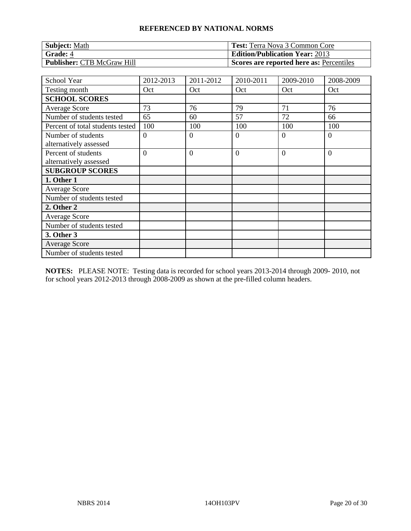| <b>Subject: Math</b>              | <b>Test:</b> Terra Nova 3 Common Core    |
|-----------------------------------|------------------------------------------|
| <b>Grade: 4</b>                   | <b>Edition/Publication Year: 2013</b>    |
| <b>Publisher: CTB McGraw Hill</b> | Scores are reported here as: Percentiles |

| School Year                                   | 2012-2013      | 2011-2012      | 2010-2011      | 2009-2010 | 2008-2009      |
|-----------------------------------------------|----------------|----------------|----------------|-----------|----------------|
| Testing month                                 | Oct            | Oct            | Oct            | Oct       | Oct            |
| <b>SCHOOL SCORES</b>                          |                |                |                |           |                |
| <b>Average Score</b>                          | 73             | 76             | 79             | 71        | 76             |
| Number of students tested                     | 65             | 60             | 57             | 72        | 66             |
| Percent of total students tested              | 100            | 100            | 100            | 100       | 100            |
| Number of students<br>alternatively assessed  | $\overline{0}$ | $\theta$       | $\theta$       | 0         | $\overline{0}$ |
| Percent of students<br>alternatively assessed | $\overline{0}$ | $\overline{0}$ | $\overline{0}$ | $\Omega$  | $\overline{0}$ |
| <b>SUBGROUP SCORES</b>                        |                |                |                |           |                |
| 1. Other 1                                    |                |                |                |           |                |
| <b>Average Score</b>                          |                |                |                |           |                |
| Number of students tested                     |                |                |                |           |                |
| 2. Other 2                                    |                |                |                |           |                |
| <b>Average Score</b>                          |                |                |                |           |                |
| Number of students tested                     |                |                |                |           |                |
| 3. Other 3                                    |                |                |                |           |                |
| <b>Average Score</b>                          |                |                |                |           |                |
| Number of students tested                     |                |                |                |           |                |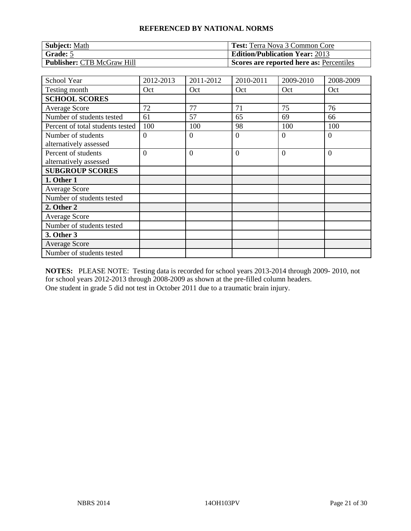| <b>Subject: Math</b>              | <b>Test:</b> Terra Nova 3 Common Core    |
|-----------------------------------|------------------------------------------|
| Grade: 5                          | <b>Edition/Publication Year: 2013</b>    |
| <b>Publisher: CTB McGraw Hill</b> | Scores are reported here as: Percentiles |

| School Year                                   | 2012-2013      | 2011-2012      | 2010-2011      | 2009-2010 | 2008-2009      |
|-----------------------------------------------|----------------|----------------|----------------|-----------|----------------|
| Testing month                                 | Oct            | Oct            | Oct            | Oct       | Oct            |
| <b>SCHOOL SCORES</b>                          |                |                |                |           |                |
| <b>Average Score</b>                          | 72             | 77             | 71             | 75        | 76             |
| Number of students tested                     | 61             | 57             | 65             | 69        | 66             |
| Percent of total students tested              | 100            | 100            | 98             | 100       | 100            |
| Number of students                            | $\overline{0}$ | $\theta$       | $\theta$       | 0         | $\overline{0}$ |
| alternatively assessed                        |                |                |                |           |                |
| Percent of students<br>alternatively assessed | $\overline{0}$ | $\overline{0}$ | $\overline{0}$ | $\Omega$  | $\overline{0}$ |
| <b>SUBGROUP SCORES</b>                        |                |                |                |           |                |
| 1. Other 1                                    |                |                |                |           |                |
| <b>Average Score</b>                          |                |                |                |           |                |
| Number of students tested                     |                |                |                |           |                |
| 2. Other 2                                    |                |                |                |           |                |
| <b>Average Score</b>                          |                |                |                |           |                |
| Number of students tested                     |                |                |                |           |                |
| 3. Other 3                                    |                |                |                |           |                |
| <b>Average Score</b>                          |                |                |                |           |                |
| Number of students tested                     |                |                |                |           |                |

**NOTES:** PLEASE NOTE: Testing data is recorded for school years 2013-2014 through 2009- 2010, not for school years 2012-2013 through 2008-2009 as shown at the pre-filled column headers. One student in grade 5 did not test in October 2011 due to a traumatic brain injury.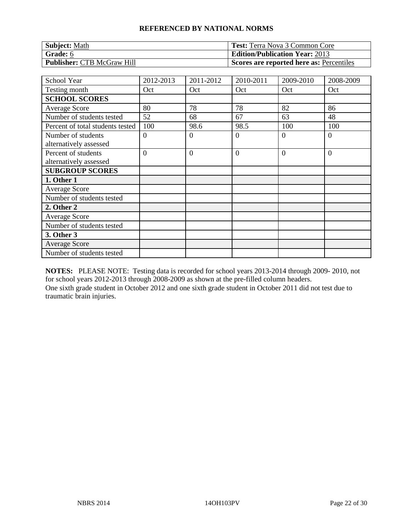| <b>Subject: Math</b>              | <b>Test:</b> Terra Nova 3 Common Core    |
|-----------------------------------|------------------------------------------|
| Grade: 6                          | <b>Edition/Publication Year: 2013</b>    |
| <b>Publisher: CTB McGraw Hill</b> | Scores are reported here as: Percentiles |

| <b>School Year</b>               | 2012-2013      | 2011-2012      | 2010-2011      | 2009-2010 | 2008-2009      |
|----------------------------------|----------------|----------------|----------------|-----------|----------------|
| Testing month                    | Oct            | Oct            | Oct            | Oct       | Oct            |
| <b>SCHOOL SCORES</b>             |                |                |                |           |                |
| <b>Average Score</b>             | 80             | 78             | 78             | 82        | 86             |
| Number of students tested        | 52             | 68             | 67             | 63        | 48             |
| Percent of total students tested | 100            | 98.6           | 98.5           | 100       | 100            |
| Number of students               | $\theta$       | $\overline{0}$ | $\theta$       | $\Omega$  | $\overline{0}$ |
| alternatively assessed           |                |                |                |           |                |
| Percent of students              | $\overline{0}$ | $\overline{0}$ | $\overline{0}$ | $\Omega$  | $\overline{0}$ |
| alternatively assessed           |                |                |                |           |                |
| <b>SUBGROUP SCORES</b>           |                |                |                |           |                |
| 1. Other 1                       |                |                |                |           |                |
| <b>Average Score</b>             |                |                |                |           |                |
| Number of students tested        |                |                |                |           |                |
| 2. Other 2                       |                |                |                |           |                |
| <b>Average Score</b>             |                |                |                |           |                |
| Number of students tested        |                |                |                |           |                |
| 3. Other 3                       |                |                |                |           |                |
| <b>Average Score</b>             |                |                |                |           |                |
| Number of students tested        |                |                |                |           |                |

**NOTES:** PLEASE NOTE: Testing data is recorded for school years 2013-2014 through 2009- 2010, not for school years 2012-2013 through 2008-2009 as shown at the pre-filled column headers. One sixth grade student in October 2012 and one sixth grade student in October 2011 did not test due to traumatic brain injuries.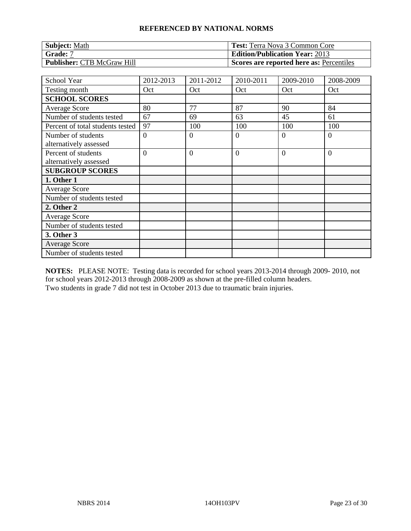| <b>Subject: Math</b>              | <b>Test:</b> Terra Nova 3 Common Core    |
|-----------------------------------|------------------------------------------|
| Grade: 7                          | <b>Edition/Publication Year: 2013</b>    |
| <b>Publisher: CTB McGraw Hill</b> | Scores are reported here as: Percentiles |

| <b>School Year</b>               | 2012-2013      | 2011-2012      | 2010-2011      | 2009-2010 | 2008-2009      |
|----------------------------------|----------------|----------------|----------------|-----------|----------------|
| Testing month                    | Oct            | Oct            | Oct            | Oct       | Oct            |
| <b>SCHOOL SCORES</b>             |                |                |                |           |                |
| <b>Average Score</b>             | 80             | 77             | 87             | 90        | 84             |
| Number of students tested        | 67             | 69             | 63             | 45        | 61             |
| Percent of total students tested | 97             | 100            | 100            | 100       | 100            |
| Number of students               | $\overline{0}$ | $\overline{0}$ | $\overline{0}$ | $\Omega$  | $\overline{0}$ |
| alternatively assessed           |                |                |                |           |                |
| Percent of students              | $\overline{0}$ | $\overline{0}$ | $\overline{0}$ | $\Omega$  | $\overline{0}$ |
| alternatively assessed           |                |                |                |           |                |
| <b>SUBGROUP SCORES</b>           |                |                |                |           |                |
| 1. Other 1                       |                |                |                |           |                |
| <b>Average Score</b>             |                |                |                |           |                |
| Number of students tested        |                |                |                |           |                |
| 2. Other 2                       |                |                |                |           |                |
| <b>Average Score</b>             |                |                |                |           |                |
| Number of students tested        |                |                |                |           |                |
| 3. Other 3                       |                |                |                |           |                |
| <b>Average Score</b>             |                |                |                |           |                |
| Number of students tested        |                |                |                |           |                |

**NOTES:** PLEASE NOTE: Testing data is recorded for school years 2013-2014 through 2009- 2010, not for school years 2012-2013 through 2008-2009 as shown at the pre-filled column headers. Two students in grade 7 did not test in October 2013 due to traumatic brain injuries.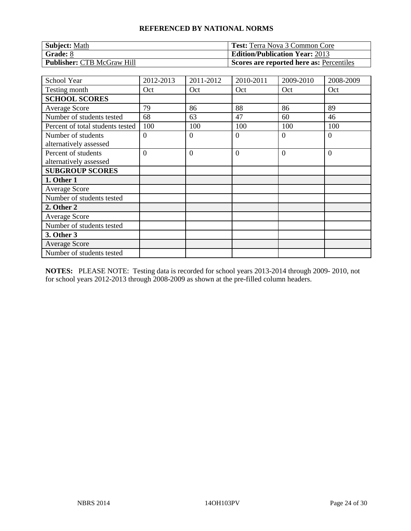| <b>Subject: Math</b>              | <b>Test:</b> Terra Nova 3 Common Core    |
|-----------------------------------|------------------------------------------|
| Grade: 8                          | <b>Edition/Publication Year: 2013</b>    |
| <b>Publisher: CTB McGraw Hill</b> | Scores are reported here as: Percentiles |

| <b>School Year</b>               | 2012-2013      | 2011-2012      | 2010-2011      | 2009-2010 | 2008-2009      |
|----------------------------------|----------------|----------------|----------------|-----------|----------------|
| Testing month                    | Oct            | Oct            | Oct            | Oct       | Oct            |
| <b>SCHOOL SCORES</b>             |                |                |                |           |                |
| <b>Average Score</b>             | 79             | 86             | 88             | 86        | 89             |
| Number of students tested        | 68             | 63             | 47             | 60        | 46             |
| Percent of total students tested | 100            | 100            | 100            | 100       | 100            |
| Number of students               | $\theta$       | $\overline{0}$ | $\overline{0}$ | $\Omega$  | $\overline{0}$ |
| alternatively assessed           |                |                |                |           |                |
| Percent of students              | $\overline{0}$ | $\overline{0}$ | $\overline{0}$ | $\Omega$  | $\overline{0}$ |
| alternatively assessed           |                |                |                |           |                |
| <b>SUBGROUP SCORES</b>           |                |                |                |           |                |
| 1. Other 1                       |                |                |                |           |                |
| <b>Average Score</b>             |                |                |                |           |                |
| Number of students tested        |                |                |                |           |                |
| 2. Other 2                       |                |                |                |           |                |
| <b>Average Score</b>             |                |                |                |           |                |
| Number of students tested        |                |                |                |           |                |
| 3. Other 3                       |                |                |                |           |                |
| <b>Average Score</b>             |                |                |                |           |                |
| Number of students tested        |                |                |                |           |                |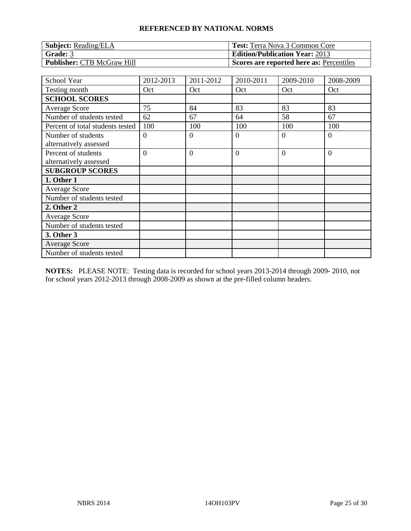| <b>Subject: Reading/ELA</b>       | <b>Test:</b> Terra Nova 3 Common Core    |
|-----------------------------------|------------------------------------------|
| Grade: 3                          | <b>Edition/Publication Year: 2013</b>    |
| <b>Publisher: CTB McGraw Hill</b> | Scores are reported here as: Percentiles |

| School Year                                   | 2012-2013      | 2011-2012      | 2010-2011      | 2009-2010 | 2008-2009      |
|-----------------------------------------------|----------------|----------------|----------------|-----------|----------------|
| Testing month                                 | Oct            | Oct            | Oct            | Oct       | Oct            |
| <b>SCHOOL SCORES</b>                          |                |                |                |           |                |
| <b>Average Score</b>                          | 75             | 84             | 83             | 83        | 83             |
| Number of students tested                     | 62             | 67             | 64             | 58        | 67             |
| Percent of total students tested              | 100            | 100            | 100            | 100       | 100            |
| Number of students                            | $\overline{0}$ | $\theta$       | $\theta$       | 0         | $\overline{0}$ |
| alternatively assessed                        |                |                |                |           |                |
| Percent of students<br>alternatively assessed | $\overline{0}$ | $\overline{0}$ | $\overline{0}$ | $\Omega$  | $\overline{0}$ |
| <b>SUBGROUP SCORES</b>                        |                |                |                |           |                |
| 1. Other 1                                    |                |                |                |           |                |
| <b>Average Score</b>                          |                |                |                |           |                |
| Number of students tested                     |                |                |                |           |                |
| 2. Other 2                                    |                |                |                |           |                |
| <b>Average Score</b>                          |                |                |                |           |                |
| Number of students tested                     |                |                |                |           |                |
| 3. Other 3                                    |                |                |                |           |                |
| <b>Average Score</b>                          |                |                |                |           |                |
| Number of students tested                     |                |                |                |           |                |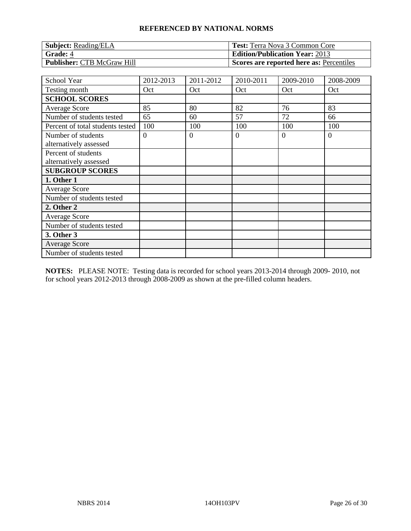| <b>Subject:</b> Reading/ELA       | <b>Test:</b> Terra Nova 3 Common Core    |
|-----------------------------------|------------------------------------------|
| <b>Grade: 4</b>                   | <b>Edition/Publication Year: 2013</b>    |
| <b>Publisher: CTB McGraw Hill</b> | Scores are reported here as: Percentiles |

| School Year                                   | 2012-2013      | 2011-2012 | 2010-2011 | 2009-2010 | 2008-2009 |
|-----------------------------------------------|----------------|-----------|-----------|-----------|-----------|
| Testing month                                 | Oct            | Oct       | Oct       | Oct       | Oct       |
| <b>SCHOOL SCORES</b>                          |                |           |           |           |           |
| <b>Average Score</b>                          | 85             | 80        | 82        | 76        | 83        |
| Number of students tested                     | 65             | 60        | 57        | 72        | 66        |
| Percent of total students tested              | 100            | 100       | 100       | 100       | 100       |
| Number of students<br>alternatively assessed  | $\overline{0}$ | $\Omega$  | $\theta$  | $\Omega$  | $\theta$  |
| Percent of students<br>alternatively assessed |                |           |           |           |           |
| <b>SUBGROUP SCORES</b>                        |                |           |           |           |           |
| 1. Other 1                                    |                |           |           |           |           |
| <b>Average Score</b>                          |                |           |           |           |           |
| Number of students tested                     |                |           |           |           |           |
| 2. Other 2                                    |                |           |           |           |           |
| <b>Average Score</b>                          |                |           |           |           |           |
| Number of students tested                     |                |           |           |           |           |
| 3. Other 3                                    |                |           |           |           |           |
| <b>Average Score</b>                          |                |           |           |           |           |
| Number of students tested                     |                |           |           |           |           |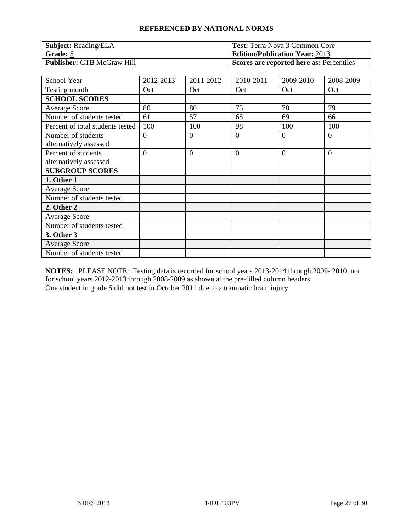| <b>Subject:</b> Reading/ELA       | <b>Test:</b> Terra Nova 3 Common Core    |
|-----------------------------------|------------------------------------------|
| Grade: 5                          | <b>Edition/Publication Year: 2013</b>    |
| <b>Publisher: CTB McGraw Hill</b> | Scores are reported here as: Percentiles |

| School Year                                   | 2012-2013      | 2011-2012      | 2010-2011      | 2009-2010 | 2008-2009      |
|-----------------------------------------------|----------------|----------------|----------------|-----------|----------------|
| Testing month                                 | Oct            | Oct            | Oct            | Oct       | Oct            |
| <b>SCHOOL SCORES</b>                          |                |                |                |           |                |
| <b>Average Score</b>                          | 80             | 80             | 75             | 78        | 79             |
| Number of students tested                     | 61             | 57             | 65             | 69        | 66             |
| Percent of total students tested              | 100            | 100            | 98             | 100       | 100            |
| Number of students<br>alternatively assessed  | $\overline{0}$ | $\Omega$       | $\theta$       | $\Omega$  | $\theta$       |
| Percent of students<br>alternatively assessed | $\overline{0}$ | $\overline{0}$ | $\overline{0}$ | $\Omega$  | $\overline{0}$ |
| <b>SUBGROUP SCORES</b>                        |                |                |                |           |                |
| 1. Other 1                                    |                |                |                |           |                |
| <b>Average Score</b>                          |                |                |                |           |                |
| Number of students tested                     |                |                |                |           |                |
| 2. Other 2                                    |                |                |                |           |                |
| <b>Average Score</b>                          |                |                |                |           |                |
| Number of students tested                     |                |                |                |           |                |
| 3. Other 3                                    |                |                |                |           |                |
| <b>Average Score</b>                          |                |                |                |           |                |
| Number of students tested                     |                |                |                |           |                |

**NOTES:** PLEASE NOTE: Testing data is recorded for school years 2013-2014 through 2009- 2010, not for school years 2012-2013 through 2008-2009 as shown at the pre-filled column headers. One student in grade 5 did not test in October 2011 due to a traumatic brain injury.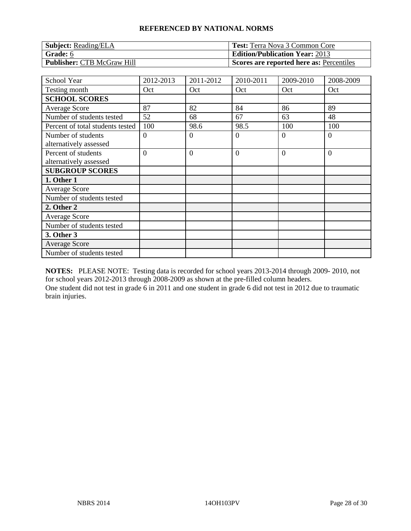| <b>Subject:</b> Reading/ELA       | <b>Test:</b> Terra Nova 3 Common Core                 |
|-----------------------------------|-------------------------------------------------------|
| Grade: 6                          | <b>Edition/Publication Year: 2013</b>                 |
| <b>Publisher: CTB McGraw Hill</b> | <sup>1</sup> Scores are reported here as: Percentiles |

| School Year                      | 2012-2013      | 2011-2012      | 2010-2011      | 2009-2010 | 2008-2009      |
|----------------------------------|----------------|----------------|----------------|-----------|----------------|
| Testing month                    | Oct            | Oct            | Oct            | Oct       | Oct            |
| <b>SCHOOL SCORES</b>             |                |                |                |           |                |
| <b>Average Score</b>             | 87             | 82             | 84             | 86        | 89             |
| Number of students tested        | 52             | 68             | 67             | 63        | 48             |
| Percent of total students tested | 100            | 98.6           | 98.5           | 100       | 100            |
| Number of students               | $\overline{0}$ | $\overline{0}$ | $\overline{0}$ | $\Omega$  | $\overline{0}$ |
| alternatively assessed           |                |                |                |           |                |
| Percent of students              | $\Omega$       | $\overline{0}$ | $\overline{0}$ | $\Omega$  | $\overline{0}$ |
| alternatively assessed           |                |                |                |           |                |
| <b>SUBGROUP SCORES</b>           |                |                |                |           |                |
| 1. Other 1                       |                |                |                |           |                |
| <b>Average Score</b>             |                |                |                |           |                |
| Number of students tested        |                |                |                |           |                |
| 2. Other 2                       |                |                |                |           |                |
| <b>Average Score</b>             |                |                |                |           |                |
| Number of students tested        |                |                |                |           |                |
| 3. Other 3                       |                |                |                |           |                |
| <b>Average Score</b>             |                |                |                |           |                |
| Number of students tested        |                |                |                |           |                |

**NOTES:** PLEASE NOTE: Testing data is recorded for school years 2013-2014 through 2009- 2010, not for school years 2012-2013 through 2008-2009 as shown at the pre-filled column headers. One student did not test in grade 6 in 2011 and one student in grade 6 did not test in 2012 due to traumatic brain injuries.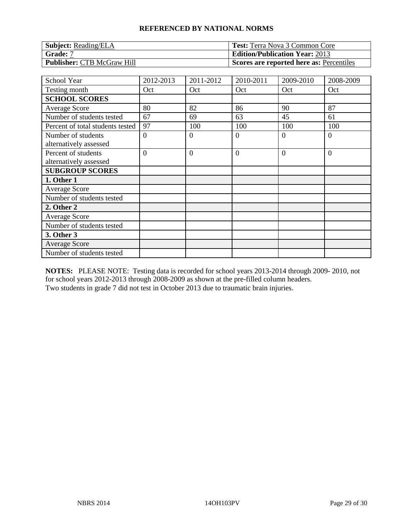| <b>Subject:</b> Reading/ELA       | <b>Test:</b> Terra Nova 3 Common Core    |
|-----------------------------------|------------------------------------------|
| Grade: 7                          | <b>Edition/Publication Year: 2013</b>    |
| <b>Publisher: CTB McGraw Hill</b> | Scores are reported here as: Percentiles |

| School Year                                   | 2012-2013      | 2011-2012      | 2010-2011      | 2009-2010 | 2008-2009      |
|-----------------------------------------------|----------------|----------------|----------------|-----------|----------------|
| Testing month                                 | Oct            | Oct            | Oct            | Oct       | Oct            |
| <b>SCHOOL SCORES</b>                          |                |                |                |           |                |
| <b>Average Score</b>                          | 80             | 82             | 86             | 90        | 87             |
| Number of students tested                     | 67             | 69             | 63             | 45        | 61             |
| Percent of total students tested              | 97             | 100            | 100            | 100       | 100            |
| Number of students<br>alternatively assessed  | $\overline{0}$ | $\theta$       | $\theta$       | 0         | $\overline{0}$ |
| Percent of students<br>alternatively assessed | $\overline{0}$ | $\overline{0}$ | $\overline{0}$ | $\Omega$  | $\overline{0}$ |
| <b>SUBGROUP SCORES</b>                        |                |                |                |           |                |
| 1. Other 1                                    |                |                |                |           |                |
| <b>Average Score</b>                          |                |                |                |           |                |
| Number of students tested                     |                |                |                |           |                |
| 2. Other 2                                    |                |                |                |           |                |
| <b>Average Score</b>                          |                |                |                |           |                |
| Number of students tested                     |                |                |                |           |                |
| 3. Other 3                                    |                |                |                |           |                |
| <b>Average Score</b>                          |                |                |                |           |                |
| Number of students tested                     |                |                |                |           |                |

**NOTES:** PLEASE NOTE: Testing data is recorded for school years 2013-2014 through 2009- 2010, not for school years 2012-2013 through 2008-2009 as shown at the pre-filled column headers. Two students in grade 7 did not test in October 2013 due to traumatic brain injuries.